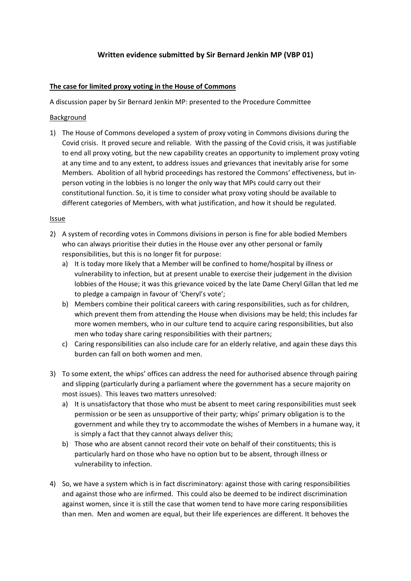# **Written evidence submitted by Sir Bernard Jenkin MP (VBP 01)**

## **The case for limited proxy voting in the House of Commons**

A discussion paper by Sir Bernard Jenkin MP: presented to the Procedure Committee

#### Background

1) The House of Commons developed a system of proxy voting in Commons divisions during the Covid crisis. It proved secure and reliable. With the passing of the Covid crisis, it was justifiable to end all proxy voting, but the new capability creates an opportunity to implement proxy voting at any time and to any extent, to address issues and grievances that inevitably arise for some Members. Abolition of all hybrid proceedings has restored the Commons' effectiveness, but inperson voting in the lobbies is no longer the only way that MPs could carry out their constitutional function. So, it is time to consider what proxy voting should be available to different categories of Members, with what justification, and how it should be regulated.

#### Issue

- 2) A system of recording votes in Commons divisions in person is fine for able bodied Members who can always prioritise their duties in the House over any other personal or family responsibilities, but this is no longer fit for purpose:
	- a) It is today more likely that a Member will be confined to home/hospital by illness or vulnerability to infection, but at present unable to exercise their judgement in the division lobbies of the House; it was this grievance voiced by the late Dame Cheryl Gillan that led me to pledge a campaign in favour of 'Cheryl's vote';
	- b) Members combine their political careers with caring responsibilities, such as for children, which prevent them from attending the House when divisions may be held; this includes far more women members, who in our culture tend to acquire caring responsibilities, but also men who today share caring responsibilities with their partners;
	- c) Caring responsibilities can also include care for an elderly relative, and again these days this burden can fall on both women and men.
- 3) To some extent, the whips' offices can address the need for authorised absence through pairing and slipping (particularly during a parliament where the government has a secure majority on most issues). This leaves two matters unresolved:
	- a) It is unsatisfactory that those who must be absent to meet caring responsibilities must seek permission or be seen as unsupportive of their party; whips' primary obligation is to the government and while they try to accommodate the wishes of Members in a humane way, it is simply a fact that they cannot always deliver this;
	- b) Those who are absent cannot record their vote on behalf of their constituents; this is particularly hard on those who have no option but to be absent, through illness or vulnerability to infection.
- 4) So, we have a system which is in fact discriminatory: against those with caring responsibilities and against those who are infirmed. This could also be deemed to be indirect discrimination against women, since it is still the case that women tend to have more caring responsibilities than men. Men and women are equal, but their life experiences are different. It behoves the